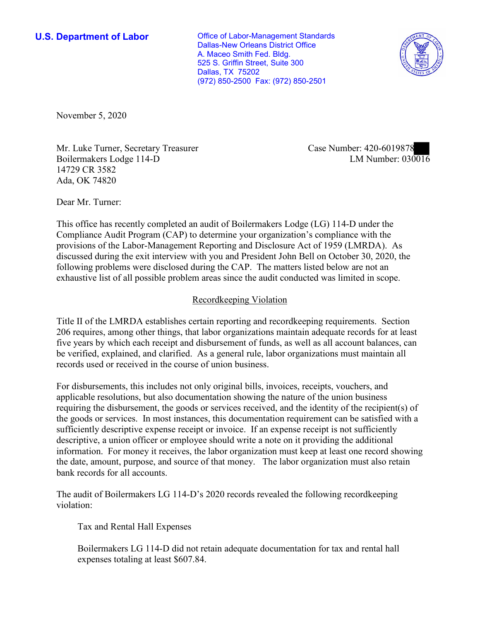**U.S. Department of Labor Conservative Conservative Conservative Conservative U.S.** Department of Labor Dallas-New Orleans District Office A. Maceo Smith Fed. Bldg. 525 S. Griffin Street, Suite 300 Dallas, TX 75202 (972) 850-2500 Fax: (972) 850-2501



November 5, 2020

Mr. Luke Turner, Secretary Treasurer Boilermakers Lodge 114-D 14729 CR 3582 Ada, OK 74820

Case Number: 420-6019878<br>LM Number: 030016

Dear Mr. Turner:

 This office has recently completed an audit of Boilermakers Lodge (LG) 114-D under the Compliance Audit Program (CAP) to determine your organization's compliance with the provisions of the Labor-Management Reporting and Disclosure Act of 1959 (LMRDA). As discussed during the exit interview with you and President John Bell on October 30, 2020, the following problems were disclosed during the CAP. The matters listed below are not an exhaustive list of all possible problem areas since the audit conducted was limited in scope.

## Recordkeeping Violation

 Title II of the LMRDA establishes certain reporting and recordkeeping requirements. Section 206 requires, among other things, that labor organizations maintain adequate records for at least be verified, explained, and clarified. As a general rule, labor organizations must maintain all five years by which each receipt and disbursement of funds, as well as all account balances, can records used or received in the course of union business.

For disbursements, this includes not only original bills, invoices, receipts, vouchers, and applicable resolutions, but also documentation showing the nature of the union business requiring the disbursement, the goods or services received, and the identity of the recipient(s) of the goods or services. In most instances, this documentation requirement can be satisfied with a sufficiently descriptive expense receipt or invoice. If an expense receipt is not sufficiently descriptive, a union officer or employee should write a note on it providing the additional information. For money it receives, the labor organization must keep at least one record showing the date, amount, purpose, and source of that money. The labor organization must also retain bank records for all accounts.

The audit of Boilermakers LG 114-D's 2020 records revealed the following recordkeeping violation:

Tax and Rental Hall Expenses

Boilermakers LG 114-D did not retain adequate documentation for tax and rental hall expenses totaling at least \$607.84.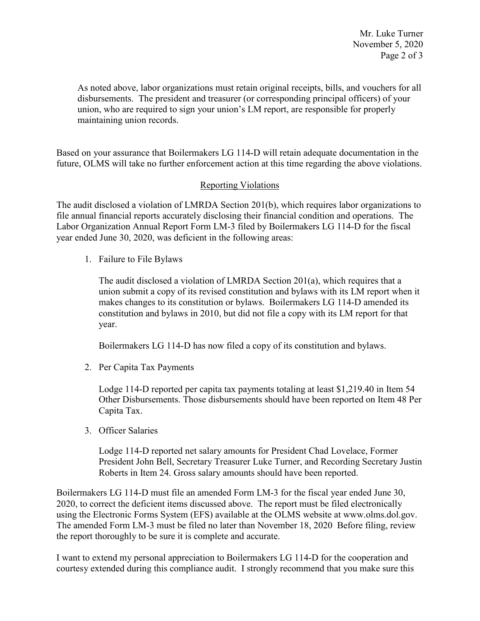Mr. Luke Turner November 5, 2020 Page 2 of 3

 disbursements. The president and treasurer (or corresponding principal officers) of your As noted above, labor organizations must retain original receipts, bills, and vouchers for all union, who are required to sign your union's LM report, are responsible for properly maintaining union records.

Based on your assurance that Boilermakers LG 114-D will retain adequate documentation in the future, OLMS will take no further enforcement action at this time regarding the above violations.

## Reporting Violations

The audit disclosed a violation of LMRDA Section 201(b), which requires labor organizations to file annual financial reports accurately disclosing their financial condition and operations. The Labor Organization Annual Report Form LM-3 filed by Boilermakers LG 114-D for the fiscal year ended June 30, 2020, was deficient in the following areas:

1. Failure to File Bylaws

 The audit disclosed a violation of LMRDA Section 201(a), which requires that a union submit a copy of its revised constitution and bylaws with its LM report when it constitution and bylaws in 2010, but did not file a copy with its LM report for that year. makes changes to its constitution or bylaws. Boilermakers LG 114-D amended its

Boilermakers LG 114-D has now filed a copy of its constitution and bylaws.

2. Per Capita Tax Payments

Lodge 114-D reported per capita tax payments totaling at least [\\$1,219.40](https://1,219.40) in Item 54 Other Disbursements. Those disbursements should have been reported on Item 48 Per Capita Tax.

3. Officer Salaries

 President John Bell, Secretary Treasurer Luke Turner, and Recording Secretary Justin Lodge 114-D reported net salary amounts for President Chad Lovelace, Former Roberts in Item 24. Gross salary amounts should have been reported.

Boilermakers LG 114-D must file an amended Form LM-3 for the fiscal year ended June 30, 2020, to correct the deficient items discussed above. The report must be filed electronically using the Electronic Forms System (EFS) available at the OLMS website at [www.olms.dol.gov.](www.olms.dol.gov) The amended Form LM-3 must be filed no later than November 18, 2020 Before filing, review the report thoroughly to be sure it is complete and accurate.

 I want to extend my personal appreciation to Boilermakers LG 114-D for the cooperation and courtesy extended during this compliance audit. I strongly recommend that you make sure this